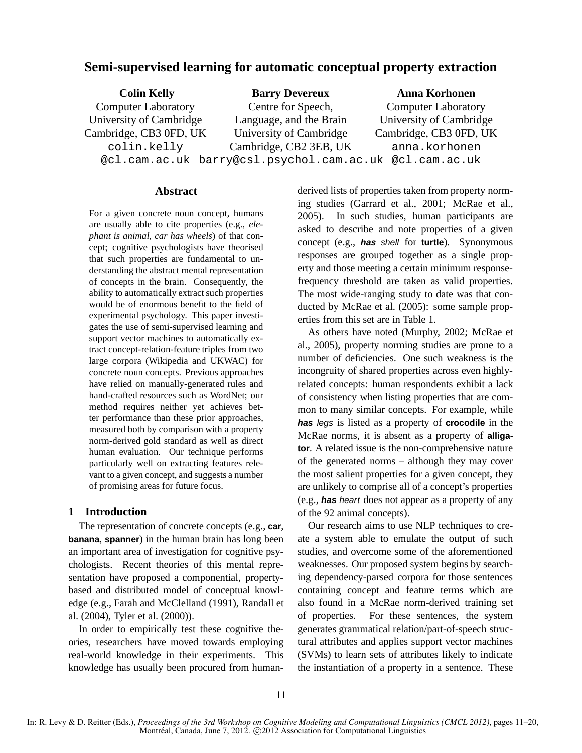# **Semi-supervised learning for automatic conceptual property extraction**

| <b>Colin Kelly</b>         | <b>Barry Devereux</b>                                   | <b>Anna Korhonen</b>       |  |
|----------------------------|---------------------------------------------------------|----------------------------|--|
| <b>Computer Laboratory</b> | Centre for Speech,                                      | <b>Computer Laboratory</b> |  |
| University of Cambridge    | Language, and the Brain                                 | University of Cambridge    |  |
| Cambridge, CB3 0FD, UK     | University of Cambridge                                 | Cambridge, CB3 0FD, UK     |  |
| colin.kelly                | Cambridge, CB2 3EB, UK                                  | anna.korhonen              |  |
|                            | @cl.cam.ac.uk barry@csl.psychol.cam.ac.uk @cl.cam.ac.uk |                            |  |

## **Abstract**

For a given concrete noun concept, humans are usually able to cite properties (e.g., *elephant is animal*, *car has wheels*) of that concept; cognitive psychologists have theorised that such properties are fundamental to understanding the abstract mental representation of concepts in the brain. Consequently, the ability to automatically extract such properties would be of enormous benefit to the field of experimental psychology. This paper investigates the use of semi-supervised learning and support vector machines to automatically extract concept-relation-feature triples from two large corpora (Wikipedia and UKWAC) for concrete noun concepts. Previous approaches have relied on manually-generated rules and hand-crafted resources such as WordNet; our method requires neither yet achieves better performance than these prior approaches, measured both by comparison with a property norm-derived gold standard as well as direct human evaluation. Our technique performs particularly well on extracting features relevant to a given concept, and suggests a number of promising areas for future focus.

# **1 Introduction**

The representation of concrete concepts (e.g., **car**, **banana**, **spanner**) in the human brain has long been an important area of investigation for cognitive psychologists. Recent theories of this mental representation have proposed a componential, propertybased and distributed model of conceptual knowledge (e.g., Farah and McClelland (1991), Randall et al. (2004), Tyler et al. (2000)).

In order to empirically test these cognitive theories, researchers have moved towards employing real-world knowledge in their experiments. This knowledge has usually been procured from humanderived lists of properties taken from property norming studies (Garrard et al., 2001; McRae et al., 2005). In such studies, human participants are asked to describe and note properties of a given concept (e.g., **has** shell for **turtle**). Synonymous responses are grouped together as a single property and those meeting a certain minimum responsefrequency threshold are taken as valid properties. The most wide-ranging study to date was that conducted by McRae et al. (2005): some sample properties from this set are in Table 1.

As others have noted (Murphy, 2002; McRae et al., 2005), property norming studies are prone to a number of deficiencies. One such weakness is the incongruity of shared properties across even highlyrelated concepts: human respondents exhibit a lack of consistency when listing properties that are common to many similar concepts. For example, while **has** legs is listed as a property of **crocodile** in the McRae norms, it is absent as a property of **alligator**. A related issue is the non-comprehensive nature of the generated norms – although they may cover the most salient properties for a given concept, they are unlikely to comprise all of a concept's properties (e.g., **has** heart does not appear as a property of any of the 92 animal concepts).

Our research aims to use NLP techniques to create a system able to emulate the output of such studies, and overcome some of the aforementioned weaknesses. Our proposed system begins by searching dependency-parsed corpora for those sentences containing concept and feature terms which are also found in a McRae norm-derived training set of properties. For these sentences, the system generates grammatical relation/part-of-speech structural attributes and applies support vector machines (SVMs) to learn sets of attributes likely to indicate the instantiation of a property in a sentence. These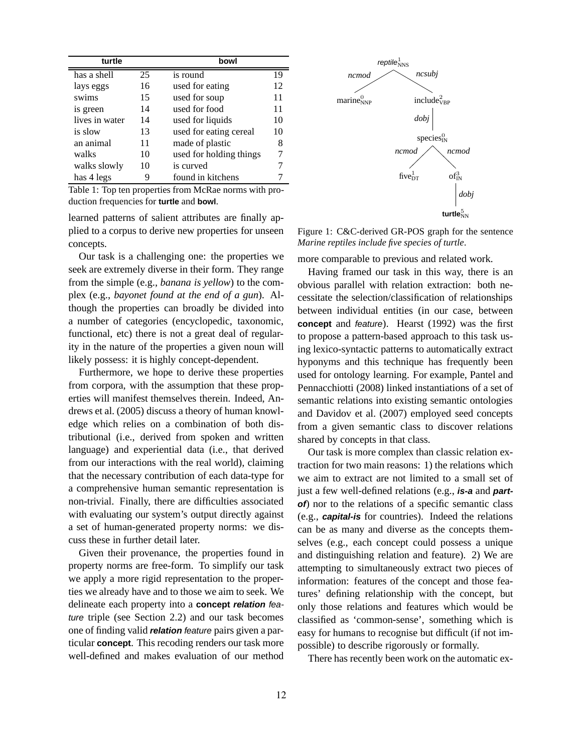| turtle         |    | bowl                    |    |
|----------------|----|-------------------------|----|
| has a shell    | 25 | is round                | 19 |
| lays eggs      | 16 | used for eating         | 12 |
| swims          | 15 | used for soup           | 11 |
| is green       | 14 | used for food           | 11 |
| lives in water | 14 | used for liquids        | 10 |
| is slow        | 13 | used for eating cereal  | 10 |
| an animal      | 11 | made of plastic         | 8  |
| walks          | 10 | used for holding things |    |
| walks slowly   | 10 | is curved               |    |
| has 4 legs     |    | found in kitchens       |    |

Table 1: Top ten properties from McRae norms with production frequencies for **turtle** and **bowl**.

learned patterns of salient attributes are finally applied to a corpus to derive new properties for unseen concepts.

Our task is a challenging one: the properties we seek are extremely diverse in their form. They range from the simple (e.g., *banana is yellow*) to the complex (e.g., *bayonet found at the end of a gun*). Although the properties can broadly be divided into a number of categories (encyclopedic, taxonomic, functional, etc) there is not a great deal of regularity in the nature of the properties a given noun will likely possess: it is highly concept-dependent.

Furthermore, we hope to derive these properties from corpora, with the assumption that these properties will manifest themselves therein. Indeed, Andrews et al. (2005) discuss a theory of human knowledge which relies on a combination of both distributional (i.e., derived from spoken and written language) and experiential data (i.e., that derived from our interactions with the real world), claiming that the necessary contribution of each data-type for a comprehensive human semantic representation is non-trivial. Finally, there are difficulties associated with evaluating our system's output directly against a set of human-generated property norms: we discuss these in further detail later.

Given their provenance, the properties found in property norms are free-form. To simplify our task we apply a more rigid representation to the properties we already have and to those we aim to seek. We delineate each property into a **concept relation** feature triple (see Section 2.2) and our task becomes one of finding valid **relation** feature pairs given a particular **concept**. This recoding renders our task more well-defined and makes evaluation of our method



Figure 1: C&C-derived GR-POS graph for the sentence *Marine reptiles include five species of turtle*.

more comparable to previous and related work.

Having framed our task in this way, there is an obvious parallel with relation extraction: both necessitate the selection/classification of relationships between individual entities (in our case, between **concept** and feature). Hearst (1992) was the first to propose a pattern-based approach to this task using lexico-syntactic patterns to automatically extract hyponyms and this technique has frequently been used for ontology learning. For example, Pantel and Pennacchiotti (2008) linked instantiations of a set of semantic relations into existing semantic ontologies and Davidov et al. (2007) employed seed concepts from a given semantic class to discover relations shared by concepts in that class.

Our task is more complex than classic relation extraction for two main reasons: 1) the relations which we aim to extract are not limited to a small set of just a few well-defined relations (e.g., **is-a** and **partof**) nor to the relations of a specific semantic class (e.g., **capital-is** for countries). Indeed the relations can be as many and diverse as the concepts themselves (e.g., each concept could possess a unique and distinguishing relation and feature). 2) We are attempting to simultaneously extract two pieces of information: features of the concept and those features' defining relationship with the concept, but only those relations and features which would be classified as 'common-sense', something which is easy for humans to recognise but difficult (if not impossible) to describe rigorously or formally.

There has recently been work on the automatic ex-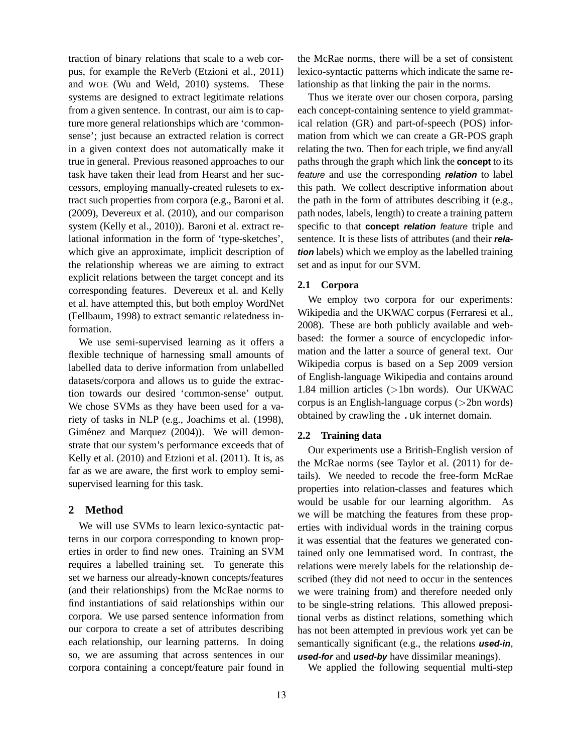traction of binary relations that scale to a web corpus, for example the ReVerb (Etzioni et al., 2011) and WOE (Wu and Weld, 2010) systems. These systems are designed to extract legitimate relations from a given sentence. In contrast, our aim is to capture more general relationships which are 'commonsense'; just because an extracted relation is correct in a given context does not automatically make it true in general. Previous reasoned approaches to our task have taken their lead from Hearst and her successors, employing manually-created rulesets to extract such properties from corpora (e.g., Baroni et al. (2009), Devereux et al. (2010), and our comparison system (Kelly et al., 2010)). Baroni et al. extract relational information in the form of 'type-sketches', which give an approximate, implicit description of the relationship whereas we are aiming to extract explicit relations between the target concept and its corresponding features. Devereux et al. and Kelly et al. have attempted this, but both employ WordNet (Fellbaum, 1998) to extract semantic relatedness information.

We use semi-supervised learning as it offers a flexible technique of harnessing small amounts of labelled data to derive information from unlabelled datasets/corpora and allows us to guide the extraction towards our desired 'common-sense' output. We chose SVMs as they have been used for a variety of tasks in NLP (e.g., Joachims et al. (1998), Giménez and Marquez (2004)). We will demonstrate that our system's performance exceeds that of Kelly et al. (2010) and Etzioni et al. (2011). It is, as far as we are aware, the first work to employ semisupervised learning for this task.

## **2 Method**

We will use SVMs to learn lexico-syntactic patterns in our corpora corresponding to known properties in order to find new ones. Training an SVM requires a labelled training set. To generate this set we harness our already-known concepts/features (and their relationships) from the McRae norms to find instantiations of said relationships within our corpora. We use parsed sentence information from our corpora to create a set of attributes describing each relationship, our learning patterns. In doing so, we are assuming that across sentences in our corpora containing a concept/feature pair found in the McRae norms, there will be a set of consistent lexico-syntactic patterns which indicate the same relationship as that linking the pair in the norms.

Thus we iterate over our chosen corpora, parsing each concept-containing sentence to yield grammatical relation (GR) and part-of-speech (POS) information from which we can create a GR-POS graph relating the two. Then for each triple, we find any/all paths through the graph which link the **concept** to its feature and use the corresponding **relation** to label this path. We collect descriptive information about the path in the form of attributes describing it (e.g., path nodes, labels, length) to create a training pattern specific to that **concept relation** feature triple and sentence. It is these lists of attributes (and their **relation** labels) which we employ as the labelled training set and as input for our SVM.

#### **2.1 Corpora**

We employ two corpora for our experiments: Wikipedia and the UKWAC corpus (Ferraresi et al., 2008). These are both publicly available and webbased: the former a source of encyclopedic information and the latter a source of general text. Our Wikipedia corpus is based on a Sep 2009 version of English-language Wikipedia and contains around 1.84 million articles (>1bn words). Our UKWAC corpus is an English-language corpus (>2bn words) obtained by crawling the .uk internet domain.

#### **2.2 Training data**

Our experiments use a British-English version of the McRae norms (see Taylor et al. (2011) for details). We needed to recode the free-form McRae properties into relation-classes and features which would be usable for our learning algorithm. As we will be matching the features from these properties with individual words in the training corpus it was essential that the features we generated contained only one lemmatised word. In contrast, the relations were merely labels for the relationship described (they did not need to occur in the sentences we were training from) and therefore needed only to be single-string relations. This allowed prepositional verbs as distinct relations, something which has not been attempted in previous work yet can be semantically significant (e.g., the relations **used-in**, **used-for** and **used-by** have dissimilar meanings).

We applied the following sequential multi-step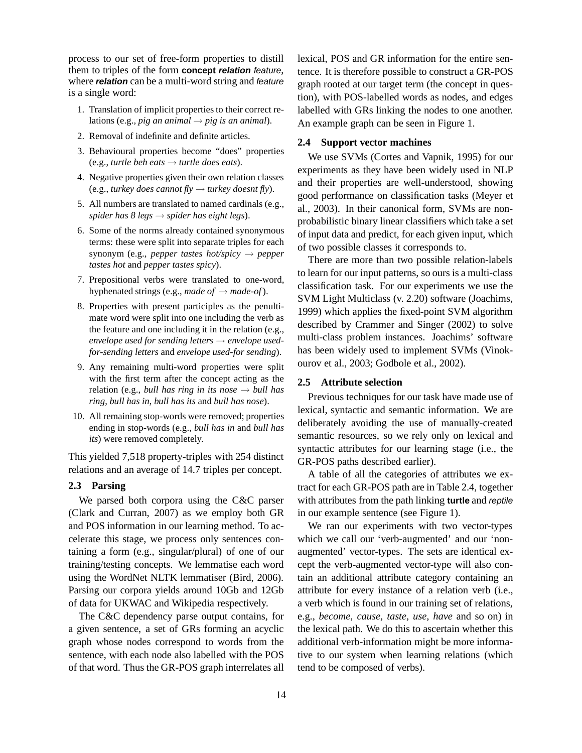process to our set of free-form properties to distill them to triples of the form **concept relation** feature, where *relation* can be a multi-word string and *feature* is a single word:

- 1. Translation of implicit properties to their correct relations (e.g., *pig an animal*  $\rightarrow$  *pig is an animal*).
- 2. Removal of indefinite and definite articles.
- 3. Behavioural properties become "does" properties  $(e.g., *turtle beh eats* \rightarrow *turtle does eats*).$
- 4. Negative properties given their own relation classes (e.g., *turkey does cannot fly* → *turkey doesnt fly*).
- 5. All numbers are translated to named cardinals (e.g., *spider has 8 legs* → *spider has eight legs*).
- 6. Some of the norms already contained synonymous terms: these were split into separate triples for each synonym (e.g., *pepper tastes hot/spicy* → *pepper tastes hot* and *pepper tastes spicy*).
- 7. Prepositional verbs were translated to one-word, hyphenated strings (e.g., *made of*  $\rightarrow$  *made-of*).
- 8. Properties with present participles as the penultimate word were split into one including the verb as the feature and one including it in the relation (e.g., *envelope used for sending letters* → *envelope usedfor-sending letters* and *envelope used-for sending*).
- 9. Any remaining multi-word properties were split with the first term after the concept acting as the relation (e.g., *bull has ring in its nose*  $\rightarrow$  *bull has ring*, *bull has in*, *bull has its* and *bull has nose*).
- 10. All remaining stop-words were removed; properties ending in stop-words (e.g., *bull has in* and *bull has its*) were removed completely.

This yielded 7,518 property-triples with 254 distinct relations and an average of 14.7 triples per concept.

#### **2.3 Parsing**

We parsed both corpora using the C&C parser (Clark and Curran, 2007) as we employ both GR and POS information in our learning method. To accelerate this stage, we process only sentences containing a form (e.g., singular/plural) of one of our training/testing concepts. We lemmatise each word using the WordNet NLTK lemmatiser (Bird, 2006). Parsing our corpora yields around 10Gb and 12Gb of data for UKWAC and Wikipedia respectively.

The C&C dependency parse output contains, for a given sentence, a set of GRs forming an acyclic graph whose nodes correspond to words from the sentence, with each node also labelled with the POS of that word. Thus the GR-POS graph interrelates all

lexical, POS and GR information for the entire sentence. It is therefore possible to construct a GR-POS graph rooted at our target term (the concept in question), with POS-labelled words as nodes, and edges labelled with GRs linking the nodes to one another. An example graph can be seen in Figure 1.

#### **2.4 Support vector machines**

We use SVMs (Cortes and Vapnik, 1995) for our experiments as they have been widely used in NLP and their properties are well-understood, showing good performance on classification tasks (Meyer et al., 2003). In their canonical form, SVMs are nonprobabilistic binary linear classifiers which take a set of input data and predict, for each given input, which of two possible classes it corresponds to.

There are more than two possible relation-labels to learn for our input patterns, so ours is a multi-class classification task. For our experiments we use the SVM Light Multiclass (v. 2.20) software (Joachims, 1999) which applies the fixed-point SVM algorithm described by Crammer and Singer (2002) to solve multi-class problem instances. Joachims' software has been widely used to implement SVMs (Vinokourov et al., 2003; Godbole et al., 2002).

### **2.5 Attribute selection**

Previous techniques for our task have made use of lexical, syntactic and semantic information. We are deliberately avoiding the use of manually-created semantic resources, so we rely only on lexical and syntactic attributes for our learning stage (i.e., the GR-POS paths described earlier).

A table of all the categories of attributes we extract for each GR-POS path are in Table 2.4, together with attributes from the path linking **turtle** and reptile in our example sentence (see Figure 1).

We ran our experiments with two vector-types which we call our 'verb-augmented' and our 'nonaugmented' vector-types. The sets are identical except the verb-augmented vector-type will also contain an additional attribute category containing an attribute for every instance of a relation verb (i.e., a verb which is found in our training set of relations, e.g., *become*, *cause*, *taste*, *use*, *have* and so on) in the lexical path. We do this to ascertain whether this additional verb-information might be more informative to our system when learning relations (which tend to be composed of verbs).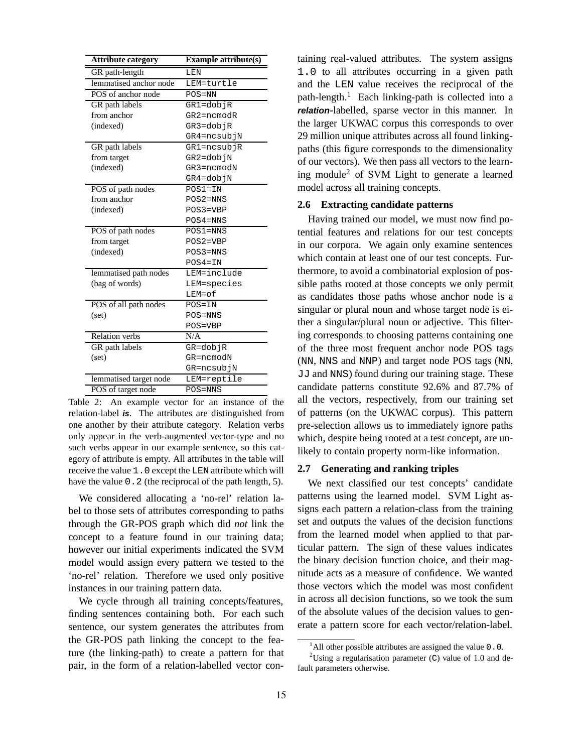| <b>Attribute category</b> | <b>Example attribute(s)</b> |
|---------------------------|-----------------------------|
| GR path-length            | LEN                         |
| lemmatised anchor node    | LEM=turtle                  |
| POS of anchor node        | $POS=NN$                    |
| GR path labels            | GR1=dobjR                   |
| from anchor               | $GR2 = ncm$ odR             |
| (indexed)                 | GR3=dobjR                   |
|                           | GR4=ncsubjN                 |
| GR path labels            | GR1=ncsubjR                 |
| from target               | GR2=dobjN                   |
| (indexed)                 | $GR3 = ncm$ odN             |
|                           | GR4=dobjN                   |
| POS of path nodes         | $POS1=IN$                   |
| from anchor               | $POS2=NNS$                  |
| (indexed)                 | POS3=VBP                    |
|                           | $POS4 = NNS$                |
| POS of path nodes         | $POS1 = NNS$                |
| from target               | $POS2=VBP$                  |
| (indexed)                 | $POS3=NNS$                  |
|                           | $POS4=IN$                   |
| lemmatised path nodes     | LEM=include                 |
| (bag of words)            | LEM=species                 |
|                           | LEM=of                      |
| POS of all path nodes     | $POS=IN$                    |
| (set)                     | $POS=NNS$                   |
|                           | POS=VBP                     |
| <b>Relation</b> verbs     | N/A                         |
| GR path labels            | GR=dobjR                    |
| (set)                     | GR=ncmodN                   |
|                           | GR=ncsubjN                  |
| lemmatised target node    | LEM=reptile                 |
| POS of target node        | POS=NNS                     |

Table 2: An example vector for an instance of the relation-label **is**. The attributes are distinguished from one another by their attribute category. Relation verbs only appear in the verb-augmented vector-type and no such verbs appear in our example sentence, so this category of attribute is empty. All attributes in the table will receive the value 1.0 except the LEN attribute which will have the value 0.2 (the reciprocal of the path length, 5).

We considered allocating a 'no-rel' relation label to those sets of attributes corresponding to paths through the GR-POS graph which did *not* link the concept to a feature found in our training data; however our initial experiments indicated the SVM model would assign every pattern we tested to the 'no-rel' relation. Therefore we used only positive instances in our training pattern data.

We cycle through all training concepts/features, finding sentences containing both. For each such sentence, our system generates the attributes from the GR-POS path linking the concept to the feature (the linking-path) to create a pattern for that pair, in the form of a relation-labelled vector containing real-valued attributes. The system assigns 1.0 to all attributes occurring in a given path and the LEN value receives the reciprocal of the path-length.<sup>1</sup> Each linking-path is collected into a **relation**-labelled, sparse vector in this manner. In the larger UKWAC corpus this corresponds to over 29 million unique attributes across all found linkingpaths (this figure corresponds to the dimensionality of our vectors). We then pass all vectors to the learning module<sup>2</sup> of SVM Light to generate a learned model across all training concepts.

# **2.6 Extracting candidate patterns**

Having trained our model, we must now find potential features and relations for our test concepts in our corpora. We again only examine sentences which contain at least one of our test concepts. Furthermore, to avoid a combinatorial explosion of possible paths rooted at those concepts we only permit as candidates those paths whose anchor node is a singular or plural noun and whose target node is either a singular/plural noun or adjective. This filtering corresponds to choosing patterns containing one of the three most frequent anchor node POS tags (NN, NNS and NNP) and target node POS tags (NN, JJ and NNS) found during our training stage. These candidate patterns constitute 92.6% and 87.7% of all the vectors, respectively, from our training set of patterns (on the UKWAC corpus). This pattern pre-selection allows us to immediately ignore paths which, despite being rooted at a test concept, are unlikely to contain property norm-like information.

#### **2.7 Generating and ranking triples**

We next classified our test concepts' candidate patterns using the learned model. SVM Light assigns each pattern a relation-class from the training set and outputs the values of the decision functions from the learned model when applied to that particular pattern. The sign of these values indicates the binary decision function choice, and their magnitude acts as a measure of confidence. We wanted those vectors which the model was most confident in across all decision functions, so we took the sum of the absolute values of the decision values to generate a pattern score for each vector/relation-label.

 $1$ All other possible attributes are assigned the value 0.0.

<sup>&</sup>lt;sup>2</sup>Using a regularisation parameter (C) value of 1.0 and default parameters otherwise.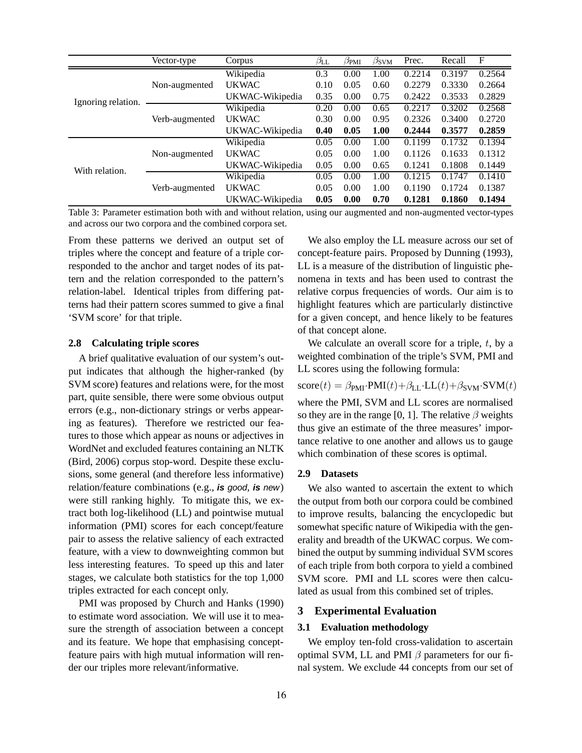|                    | Vector-type    | Corpus          | $\beta_{\rm LL}$ | $\beta_{\rm PMI}$ | $\beta_{\rm SVM}$ | Prec.  | Recall | $_{\rm F}$ |
|--------------------|----------------|-----------------|------------------|-------------------|-------------------|--------|--------|------------|
|                    |                | Wikipedia       | 0.3              | 0.00              | 1.00              | 0.2214 | 0.3197 | 0.2564     |
|                    | Non-augmented  | <b>UKWAC</b>    | 0.10             | 0.05              | 0.60              | 0.2279 | 0.3330 | 0.2664     |
| Ignoring relation. |                | UKWAC-Wikipedia | 0.35             | 0.00              | 0.75              | 0.2422 | 0.3533 | 0.2829     |
|                    | Verb-augmented | Wikipedia       | 0.20             | 0.00              | 0.65              | 0.2217 | 0.3202 | 0.2568     |
|                    |                | <b>UKWAC</b>    | 0.30             | 0.00              | 0.95              | 0.2326 | 0.3400 | 0.2720     |
|                    |                | UKWAC-Wikipedia | 0.40             | 0.05              | 1.00              | 0.2444 | 0.3577 | 0.2859     |
| With relation.     | Non-augmented  | Wikipedia       | 0.05             | 0.00              | 1.00              | 0.1199 | 0.1732 | 0.1394     |
|                    |                | <b>UKWAC</b>    | 0.05             | 0.00              | 1.00              | 0.1126 | 0.1633 | 0.1312     |
|                    |                | UKWAC-Wikipedia | 0.05             | 0.00              | 0.65              | 0.1241 | 0.1808 | 0.1449     |
|                    | Verb-augmented | Wikipedia       | 0.05             | 0.00              | 1.00              | 0.1215 | 0.1747 | 0.1410     |
|                    |                | <b>UKWAC</b>    | 0.05             | 0.00              | 1.00              | 0.1190 | 0.1724 | 0.1387     |
|                    |                | UKWAC-Wikipedia | 0.05             | 0.00              | 0.70              | 0.1281 | 0.1860 | 0.1494     |

Table 3: Parameter estimation both with and without relation, using our augmented and non-augmented vector-types and across our two corpora and the combined corpora set.

From these patterns we derived an output set of triples where the concept and feature of a triple corresponded to the anchor and target nodes of its pattern and the relation corresponded to the pattern's relation-label. Identical triples from differing patterns had their pattern scores summed to give a final 'SVM score' for that triple.

#### **2.8 Calculating triple scores**

A brief qualitative evaluation of our system's output indicates that although the higher-ranked (by SVM score) features and relations were, for the most part, quite sensible, there were some obvious output errors (e.g., non-dictionary strings or verbs appearing as features). Therefore we restricted our features to those which appear as nouns or adjectives in WordNet and excluded features containing an NLTK (Bird, 2006) corpus stop-word. Despite these exclusions, some general (and therefore less informative) relation/feature combinations (e.g., **is** good, **is** new) were still ranking highly. To mitigate this, we extract both log-likelihood (LL) and pointwise mutual information (PMI) scores for each concept/feature pair to assess the relative saliency of each extracted feature, with a view to downweighting common but less interesting features. To speed up this and later stages, we calculate both statistics for the top 1,000 triples extracted for each concept only.

PMI was proposed by Church and Hanks (1990) to estimate word association. We will use it to measure the strength of association between a concept and its feature. We hope that emphasising conceptfeature pairs with high mutual information will render our triples more relevant/informative.

We also employ the LL measure across our set of concept-feature pairs. Proposed by Dunning (1993), LL is a measure of the distribution of linguistic phenomena in texts and has been used to contrast the relative corpus frequencies of words. Our aim is to highlight features which are particularly distinctive for a given concept, and hence likely to be features of that concept alone.

We calculate an overall score for a triple,  $t$ , by a weighted combination of the triple's SVM, PMI and LL scores using the following formula:

 $score(t) = \beta_{PMI} \cdot PMI(t) + \beta_{LL} \cdot LL(t) + \beta_{SVM} \cdot SWM(t)$ 

where the PMI, SVM and LL scores are normalised so they are in the range [0, 1]. The relative  $\beta$  weights thus give an estimate of the three measures' importance relative to one another and allows us to gauge which combination of these scores is optimal.

#### **2.9 Datasets**

We also wanted to ascertain the extent to which the output from both our corpora could be combined to improve results, balancing the encyclopedic but somewhat specific nature of Wikipedia with the generality and breadth of the UKWAC corpus. We combined the output by summing individual SVM scores of each triple from both corpora to yield a combined SVM score. PMI and LL scores were then calculated as usual from this combined set of triples.

# **3 Experimental Evaluation**

## **3.1 Evaluation methodology**

We employ ten-fold cross-validation to ascertain optimal SVM, LL and PMI  $\beta$  parameters for our final system. We exclude 44 concepts from our set of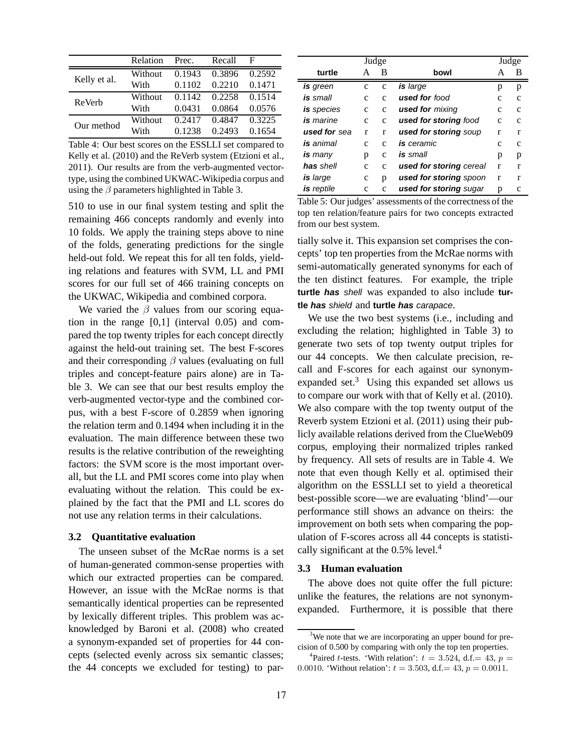|              | Relation | Prec.  | Recall | F      |
|--------------|----------|--------|--------|--------|
|              | Without  | 0.1943 | 0.3896 | 0.2592 |
| Kelly et al. | With     | 0.1102 | 0.2210 | 0.1471 |
| ReVerb       | Without  | 0.1142 | 0.2258 | 0.1514 |
|              | With     | 0.0431 | 0.0864 | 0.0576 |
| Our method   | Without  | 0.2417 | 0.4847 | 0.3225 |
|              | With     | 0.1238 | 0.2493 | 0.1654 |

Table 4: Our best scores on the ESSLLI set compared to Kelly et al. (2010) and the ReVerb system (Etzioni et al., 2011). Our results are from the verb-augmented vectortype, using the combined UKWAC-Wikipedia corpus and using the  $\beta$  parameters highlighted in Table 3.

510 to use in our final system testing and split the remaining 466 concepts randomly and evenly into 10 folds. We apply the training steps above to nine of the folds, generating predictions for the single held-out fold. We repeat this for all ten folds, yielding relations and features with SVM, LL and PMI scores for our full set of 466 training concepts on the UKWAC, Wikipedia and combined corpora.

We varied the  $\beta$  values from our scoring equation in the range [0,1] (interval 0.05) and compared the top twenty triples for each concept directly against the held-out training set. The best F-scores and their corresponding  $\beta$  values (evaluating on full triples and concept-feature pairs alone) are in Table 3. We can see that our best results employ the verb-augmented vector-type and the combined corpus, with a best F-score of 0.2859 when ignoring the relation term and 0.1494 when including it in the evaluation. The main difference between these two results is the relative contribution of the reweighting factors: the SVM score is the most important overall, but the LL and PMI scores come into play when evaluating without the relation. This could be explained by the fact that the PMI and LL scores do not use any relation terms in their calculations.

#### **3.2 Quantitative evaluation**

The unseen subset of the McRae norms is a set of human-generated common-sense properties with which our extracted properties can be compared. However, an issue with the McRae norms is that semantically identical properties can be represented by lexically different triples. This problem was acknowledged by Baroni et al. (2008) who created a synonym-expanded set of properties for 44 concepts (selected evenly across six semantic classes; the 44 concepts we excluded for testing) to par-

|                |               | Judge         |                         | Judge |   |
|----------------|---------------|---------------|-------------------------|-------|---|
| turtle         | A             | B             | bowl                    | А     | в |
| is green       | c             | $\mathbf{C}$  | is large                | p     | p |
| is small       | $\mathcal{C}$ | $\mathcal{C}$ | <b>used for</b> food    | с     | C |
| is species     | c             | C             | <b>used for</b> mixing  | c     | c |
| is marine      | $\mathcal{C}$ | $\mathbf{C}$  | used for storing food   | C     | C |
| used for sea   | r             | r             | used for storing soup   | r     | r |
| is animal      | $\mathcal{C}$ | C             | <b>is</b> ceramic       | c     | c |
| <b>is</b> many | p             | c             | <b>is</b> small         | p     | p |
| has shell      | c             | C             | used for storing cereal | r     | r |
| is large       | c             | p             | used for storing spoon  | r     | r |
| is reptile     | c             | c             | used for storing sugar  | р     | с |

Table 5: Our judges' assessments of the correctness of the top ten relation/feature pairs for two concepts extracted from our best system.

tially solve it. This expansion set comprises the concepts' top ten properties from the McRae norms with semi-automatically generated synonyms for each of the ten distinct features. For example, the triple **turtle has** shell was expanded to also include **turtle has** shield and **turtle has** carapace.

We use the two best systems (i.e., including and excluding the relation; highlighted in Table 3) to generate two sets of top twenty output triples for our 44 concepts. We then calculate precision, recall and F-scores for each against our synonymexpanded set.<sup>3</sup> Using this expanded set allows us to compare our work with that of Kelly et al. (2010). We also compare with the top twenty output of the Reverb system Etzioni et al. (2011) using their publicly available relations derived from the ClueWeb09 corpus, employing their normalized triples ranked by frequency. All sets of results are in Table 4. We note that even though Kelly et al. optimised their algorithm on the ESSLLI set to yield a theoretical best-possible score—we are evaluating 'blind'—our performance still shows an advance on theirs: the improvement on both sets when comparing the population of F-scores across all 44 concepts is statistically significant at the  $0.5\%$  level.<sup>4</sup>

#### **3.3 Human evaluation**

The above does not quite offer the full picture: unlike the features, the relations are not synonymexpanded. Furthermore, it is possible that there

<sup>&</sup>lt;sup>3</sup>We note that we are incorporating an upper bound for precision of 0.500 by comparing with only the top ten properties.

<sup>&</sup>lt;sup>4</sup>Paired *t*-tests. 'With relation':  $t = 3.524$ , d.f. = 43,  $p =$ 0.0010. 'Without relation':  $t = 3.503$ , d.f. = 43,  $p = 0.0011$ .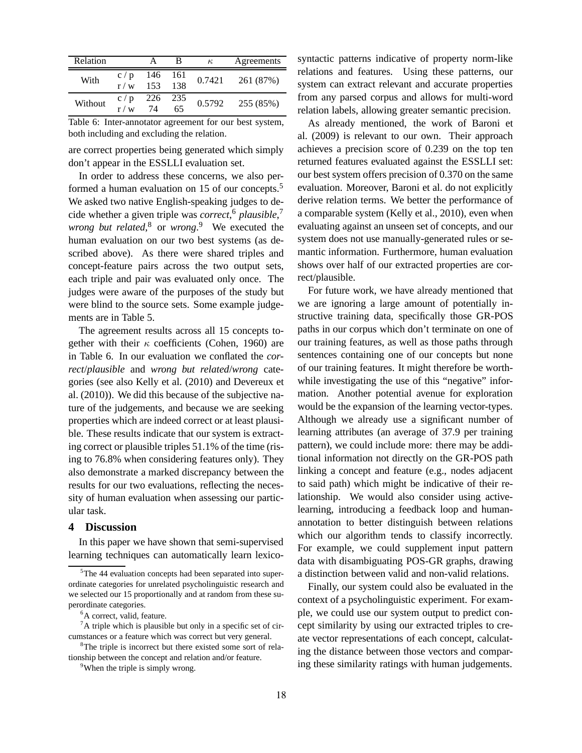| Relation |              |     |     | $\kappa$ | Agreements |
|----------|--------------|-----|-----|----------|------------|
| With     | c/p          | 146 | 161 | 0.7421   | 261 (87%)  |
|          | r / w        | 153 | 138 |          |            |
| Without  | c/p          | 226 | 235 | 0.5792   | 255 (85%)  |
|          | $\mathbf{W}$ | 74  | 65  |          |            |

Table 6: Inter-annotator agreement for our best system, both including and excluding the relation.

are correct properties being generated which simply don't appear in the ESSLLI evaluation set.

In order to address these concerns, we also performed a human evaluation on 15 of our concepts.<sup>5</sup> We asked two native English-speaking judges to decide whether a given triple was *correct*, <sup>6</sup> *plausible*, 7 *wrong but related*, <sup>8</sup> or *wrong*. <sup>9</sup> We executed the human evaluation on our two best systems (as described above). As there were shared triples and concept-feature pairs across the two output sets, each triple and pair was evaluated only once. The judges were aware of the purposes of the study but were blind to the source sets. Some example judgements are in Table 5.

The agreement results across all 15 concepts together with their  $\kappa$  coefficients (Cohen, 1960) are in Table 6. In our evaluation we conflated the *correct*/*plausible* and *wrong but related*/*wrong* categories (see also Kelly et al. (2010) and Devereux et al. (2010)). We did this because of the subjective nature of the judgements, and because we are seeking properties which are indeed correct or at least plausible. These results indicate that our system is extracting correct or plausible triples 51.1% of the time (rising to 76.8% when considering features only). They also demonstrate a marked discrepancy between the results for our two evaluations, reflecting the necessity of human evaluation when assessing our particular task.

# **4 Discussion**

In this paper we have shown that semi-supervised learning techniques can automatically learn lexicosyntactic patterns indicative of property norm-like relations and features. Using these patterns, our system can extract relevant and accurate properties from any parsed corpus and allows for multi-word relation labels, allowing greater semantic precision.

As already mentioned, the work of Baroni et al. (2009) is relevant to our own. Their approach achieves a precision score of 0.239 on the top ten returned features evaluated against the ESSLLI set: our best system offers precision of 0.370 on the same evaluation. Moreover, Baroni et al. do not explicitly derive relation terms. We better the performance of a comparable system (Kelly et al., 2010), even when evaluating against an unseen set of concepts, and our system does not use manually-generated rules or semantic information. Furthermore, human evaluation shows over half of our extracted properties are correct/plausible.

For future work, we have already mentioned that we are ignoring a large amount of potentially instructive training data, specifically those GR-POS paths in our corpus which don't terminate on one of our training features, as well as those paths through sentences containing one of our concepts but none of our training features. It might therefore be worthwhile investigating the use of this "negative" information. Another potential avenue for exploration would be the expansion of the learning vector-types. Although we already use a significant number of learning attributes (an average of 37.9 per training pattern), we could include more: there may be additional information not directly on the GR-POS path linking a concept and feature (e.g., nodes adjacent to said path) which might be indicative of their relationship. We would also consider using activelearning, introducing a feedback loop and humanannotation to better distinguish between relations which our algorithm tends to classify incorrectly. For example, we could supplement input pattern data with disambiguating POS-GR graphs, drawing a distinction between valid and non-valid relations.

Finally, our system could also be evaluated in the context of a psycholinguistic experiment. For example, we could use our system output to predict concept similarity by using our extracted triples to create vector representations of each concept, calculating the distance between those vectors and comparing these similarity ratings with human judgements.

<sup>5</sup>The 44 evaluation concepts had been separated into superordinate categories for unrelated psycholinguistic research and we selected our 15 proportionally and at random from these superordinate categories.

<sup>&</sup>lt;sup>6</sup>A correct, valid, feature.

 ${}^{7}$ A triple which is plausible but only in a specific set of circumstances or a feature which was correct but very general.

<sup>&</sup>lt;sup>8</sup>The triple is incorrect but there existed some sort of relationship between the concept and relation and/or feature.

<sup>&</sup>lt;sup>9</sup>When the triple is simply wrong.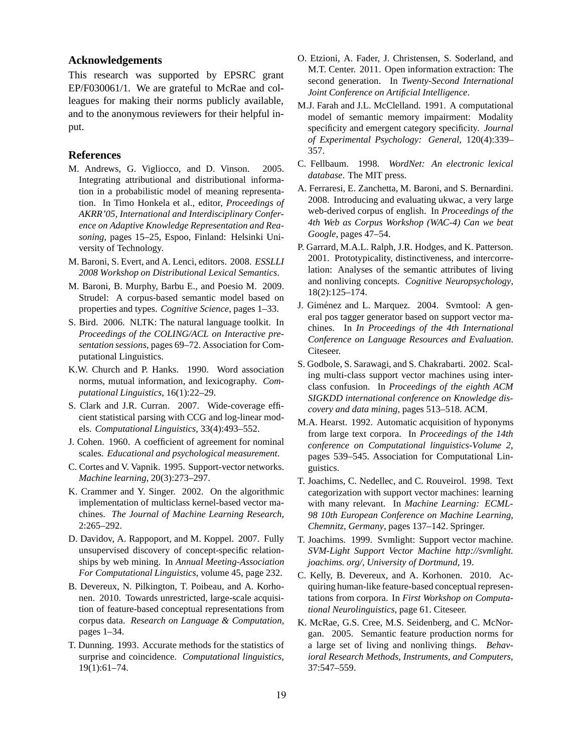#### **Acknowledgements**

This research was supported by EPSRC grant EP/F030061/1. We are grateful to McRae and colleagues for making their norms publicly available, and to the anonymous reviewers for their helpful input.

#### **References**

- M. Andrews, G. Vigliocco, and D. Vinson. 2005. Integrating attributional and distributional information in a probabilistic model of meaning representation. In Timo Honkela et al., editor, *Proceedings of AKRR'05, International and Interdisciplinary Conference on Adaptive Knowledge Representation and Reasoning*, pages 15–25, Espoo, Finland: Helsinki University of Technology.
- M. Baroni, S. Evert, and A. Lenci, editors. 2008. *ESSLLI 2008 Workshop on Distributional Lexical Semantics*.
- M. Baroni, B. Murphy, Barbu E., and Poesio M. 2009. Strudel: A corpus-based semantic model based on properties and types. *Cognitive Science*, pages 1–33.
- S. Bird. 2006. NLTK: The natural language toolkit. In *Proceedings of the COLING/ACL on Interactive presentation sessions*, pages 69–72. Association for Computational Linguistics.
- K.W. Church and P. Hanks. 1990. Word association norms, mutual information, and lexicography. *Computational Linguistics*, 16(1):22–29.
- S. Clark and J.R. Curran. 2007. Wide-coverage efficient statistical parsing with CCG and log-linear models. *Computational Linguistics*, 33(4):493–552.
- J. Cohen. 1960. A coefficient of agreement for nominal scales. *Educational and psychological measurement*.
- C. Cortes and V. Vapnik. 1995. Support-vector networks. *Machine learning*, 20(3):273–297.
- K. Crammer and Y. Singer. 2002. On the algorithmic implementation of multiclass kernel-based vector machines. *The Journal of Machine Learning Research*, 2:265–292.
- D. Davidov, A. Rappoport, and M. Koppel. 2007. Fully unsupervised discovery of concept-specific relationships by web mining. In *Annual Meeting-Association For Computational Linguistics*, volume 45, page 232.
- B. Devereux, N. Pilkington, T. Poibeau, and A. Korhonen. 2010. Towards unrestricted, large-scale acquisition of feature-based conceptual representations from corpus data. *Research on Language & Computation*, pages 1–34.
- T. Dunning. 1993. Accurate methods for the statistics of surprise and coincidence. *Computational linguistics*, 19(1):61–74.
- O. Etzioni, A. Fader, J. Christensen, S. Soderland, and M.T. Center. 2011. Open information extraction: The second generation. In *Twenty-Second International Joint Conference on Artificial Intelligence*.
- M.J. Farah and J.L. McClelland. 1991. A computational model of semantic memory impairment: Modality specificity and emergent category specificity. *Journal of Experimental Psychology: General*, 120(4):339– 357.
- C. Fellbaum. 1998. *WordNet: An electronic lexical database*. The MIT press.
- A. Ferraresi, E. Zanchetta, M. Baroni, and S. Bernardini. 2008. Introducing and evaluating ukwac, a very large web-derived corpus of english. In *Proceedings of the 4th Web as Corpus Workshop (WAC-4) Can we beat Google*, pages 47–54.
- P. Garrard, M.A.L. Ralph, J.R. Hodges, and K. Patterson. 2001. Prototypicality, distinctiveness, and intercorrelation: Analyses of the semantic attributes of living and nonliving concepts. *Cognitive Neuropsychology*, 18(2):125–174.
- J. Giménez and L. Marquez. 2004. Svmtool: A general pos tagger generator based on support vector machines. In *In Proceedings of the 4th International Conference on Language Resources and Evaluation*. Citeseer.
- S. Godbole, S. Sarawagi, and S. Chakrabarti. 2002. Scaling multi-class support vector machines using interclass confusion. In *Proceedings of the eighth ACM SIGKDD international conference on Knowledge discovery and data mining*, pages 513–518. ACM.
- M.A. Hearst. 1992. Automatic acquisition of hyponyms from large text corpora. In *Proceedings of the 14th conference on Computational linguistics-Volume 2*, pages 539–545. Association for Computational Linguistics.
- T. Joachims, C. Nedellec, and C. Rouveirol. 1998. Text categorization with support vector machines: learning with many relevant. In *Machine Learning: ECML-98 10th European Conference on Machine Learning, Chemnitz, Germany*, pages 137–142. Springer.
- T. Joachims. 1999. Svmlight: Support vector machine. *SVM-Light Support Vector Machine http://svmlight. joachims. org/, University of Dortmund*, 19.
- C. Kelly, B. Devereux, and A. Korhonen. 2010. Acquiring human-like feature-based conceptual representations from corpora. In *First Workshop on Computational Neurolinguistics*, page 61. Citeseer.
- K. McRae, G.S. Cree, M.S. Seidenberg, and C. McNorgan. 2005. Semantic feature production norms for a large set of living and nonliving things. *Behavioral Research Methods, Instruments, and Computers*, 37:547–559.